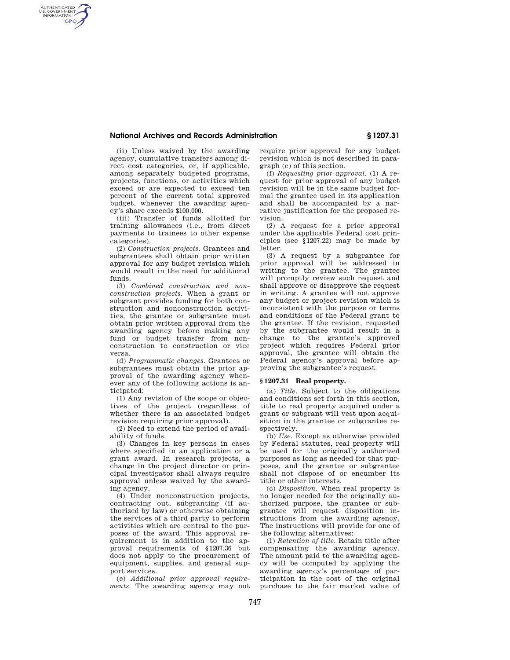## **National Archives and Records Administration § 1207.31**

(ii) Unless waived by the awarding agency, cumulative transfers among direct cost categories, or, if applicable, among separately budgeted programs, projects, functions, or activities which exceed or are expected to exceed ten percent of the current total approved budget, whenever the awarding agency's share exceeds \$100,000.

AUTHENTICATED<br>U.S. GOVERNMENT<br>INFORMATION **GPO** 

> (iii) Transfer of funds allotted for training allowances (i.e., from direct payments to trainees to other expense categories).

> (2) *Construction projects.* Grantees and subgrantees shall obtain prior written approval for any budget revision which would result in the need for additional funds.

> (3) *Combined construction and nonconstruction projects.* When a grant or subgrant provides funding for both construction and nonconstruction activities, the grantee or subgrantee must obtain prior written approval from the awarding agency before making any fund or budget transfer from nonconstruction to construction or vice versa.

> (d) *Programmatic changes.* Grantees or subgrantees must obtain the prior approval of the awarding agency whenever any of the following actions is anticipated:

> (1) Any revision of the scope or objectives of the project (regardless of whether there is an associated budget revision requiring prior approval).

> (2) Need to extend the period of availability of funds.

> (3) Changes in key persons in cases where specified in an application or a grant award. In research projects, a change in the project director or principal investigator shall always require approval unless waived by the awarding agency.

> (4) Under nonconstruction projects, contracting out, subgranting (if authorized by law) or otherwise obtaining the services of a third party to perform activities which are central to the purposes of the award. This approval requirement is in addition to the approval requirements of §1207.36 but does not apply to the procurement of equipment, supplies, and general support services.

(e) *Additional prior approval requirements*. The awarding agency may not require prior approval for any budget revision which is not described in paragraph (c) of this section.

(f) *Requesting prior approval.* (1) A request for prior approval of any budget revision will be in the same budget formal the grantee used in its application and shall be accompanied by a narrative justification for the proposed revision.

(2) A request for a prior approval under the applicable Federal cost principles (see §1207.22) may be made by letter.

(3) A request by a subgrantee for prior approval will be addressed in writing to the grantee. The grantee will promptly review such request and shall approve or disapprove the request in writing. A grantee will not approve any budget or project revision which is inconsistent with the purpose or terms and conditions of the Federal grant to the grantee. If the revision, requested by the subgrantee would result in a change to the grantee's approved project which requires Federal prior approval, the grantee will obtain the Federal agency's approval before approving the subgrantee's request.

## **§ 1207.31 Real property.**

(a) *Title.* Subject to the obligations and conditions set forth in this section, title to real property acquired under a grant or subgrant will vest upon acquisition in the grantee or subgrantee respectively.

(b) *Use.* Except as otherwise provided by Federal statutes, real property will be used for the originally authorized purposes as long as needed for that purposes, and the grantee or subgrantee shall not dispose of or encumber its title or other interests.

(c) *Disposition.* When real property is no longer needed for the originally authorized purpose, the grantee or subgrantee will request disposition instructions from the awarding agency. The instructions will provide for one of the following alternatives:

(1) *Retention of title.* Retain title after compensating the awarding agency. The amount paid to the awarding agency will be computed by applying the awarding agency's percentage of participation in the cost of the original purchase to the fair market value of